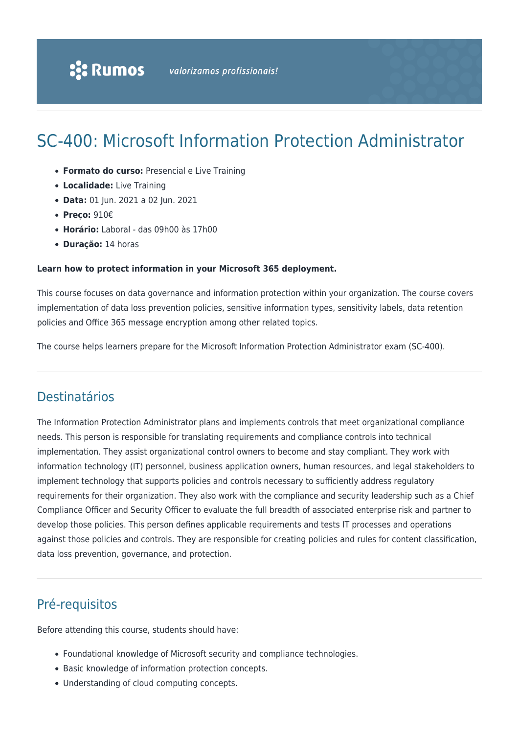# SC-400: Microsoft Information Protection Administrator

- **Formato do curso:** Presencial e Live Training
- **Localidade:** Live Training
- **Data:** 01 Jun. 2021 a 02 Jun. 2021
- **Preço:** 910€
- **Horário:** Laboral das 09h00 às 17h00
- **Duração:** 14 horas

#### **Learn how to protect information in your Microsoft 365 deployment.**

This course focuses on data governance and information protection within your organization. The course covers implementation of data loss prevention policies, sensitive information types, sensitivity labels, data retention policies and Office 365 message encryption among other related topics.

The course helps learners prepare for the Microsoft Information Protection Administrator exam (SC-400).

# Destinatários

The Information Protection Administrator plans and implements controls that meet organizational compliance needs. This person is responsible for translating requirements and compliance controls into technical implementation. They assist organizational control owners to become and stay compliant. They work with information technology (IT) personnel, business application owners, human resources, and legal stakeholders to implement technology that supports policies and controls necessary to sufficiently address regulatory requirements for their organization. They also work with the compliance and security leadership such as a Chief Compliance Officer and Security Officer to evaluate the full breadth of associated enterprise risk and partner to develop those policies. This person defines applicable requirements and tests IT processes and operations against those policies and controls. They are responsible for creating policies and rules for content classification, data loss prevention, governance, and protection.

# Pré-requisitos

Before attending this course, students should have:

- Foundational knowledge of Microsoft security and compliance technologies.
- Basic knowledge of information protection concepts.
- Understanding of cloud computing concepts.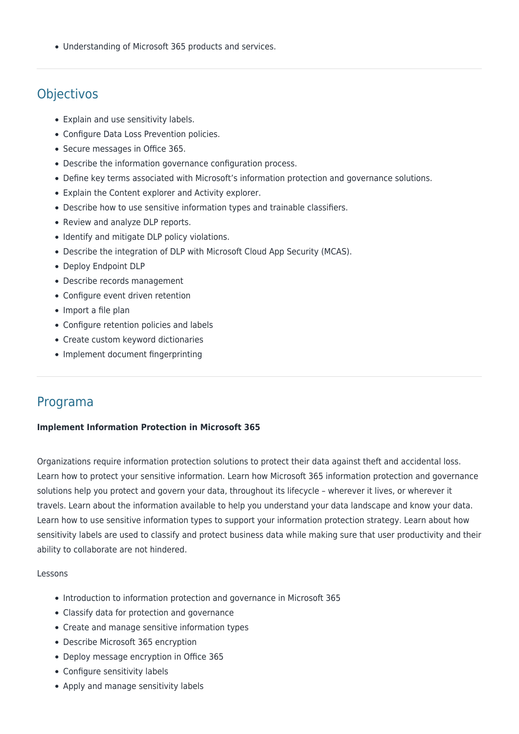Understanding of Microsoft 365 products and services.

# **Objectivos**

- Explain and use sensitivity labels.
- Configure Data Loss Prevention policies.
- Secure messages in Office 365.
- Describe the information governance configuration process.
- Define key terms associated with Microsoft's information protection and governance solutions.
- Explain the Content explorer and Activity explorer.
- Describe how to use sensitive information types and trainable classifiers.
- Review and analyze DLP reports.
- Identify and mitigate DLP policy violations.
- Describe the integration of DLP with Microsoft Cloud App Security (MCAS).
- Deploy Endpoint DLP
- Describe records management
- Configure event driven retention
- Import a file plan
- Configure retention policies and labels
- Create custom keyword dictionaries
- Implement document fingerprinting

## Programa

### **Implement Information Protection in Microsoft 365**

Organizations require information protection solutions to protect their data against theft and accidental loss. Learn how to protect your sensitive information. Learn how Microsoft 365 information protection and governance solutions help you protect and govern your data, throughout its lifecycle – wherever it lives, or wherever it travels. Learn about the information available to help you understand your data landscape and know your data. Learn how to use sensitive information types to support your information protection strategy. Learn about how sensitivity labels are used to classify and protect business data while making sure that user productivity and their ability to collaborate are not hindered.

#### Lessons

- Introduction to information protection and governance in Microsoft 365
- Classify data for protection and governance
- Create and manage sensitive information types
- Describe Microsoft 365 encryption
- Deploy message encryption in Office 365
- Configure sensitivity labels
- Apply and manage sensitivity labels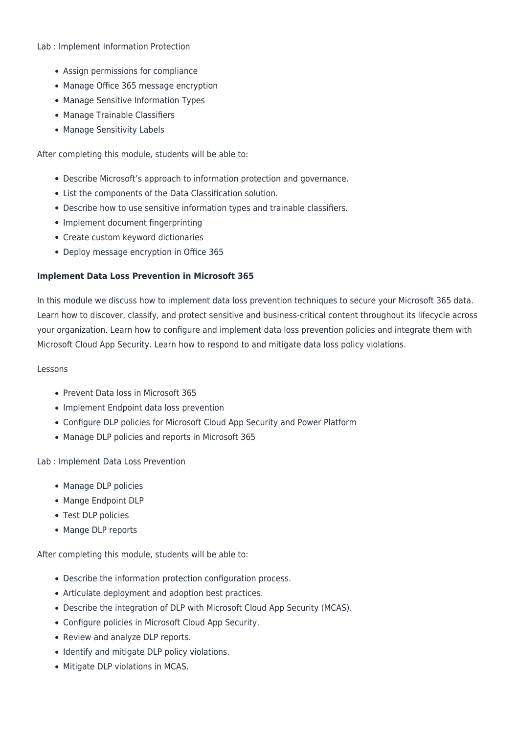#### Lab : Implement Information Protection

- Assign permissions for compliance
- Manage Office 365 message encryption
- Manage Sensitive Information Types
- Manage Trainable Classifiers
- Manage Sensitivity Labels

After completing this module, students will be able to:

- Describe Microsoft's approach to information protection and governance.
- List the components of the Data Classification solution.
- Describe how to use sensitive information types and trainable classifiers.
- Implement document fingerprinting
- Create custom keyword dictionaries
- Deploy message encryption in Office 365

### **Implement Data Loss Prevention in Microsoft 365**

In this module we discuss how to implement data loss prevention techniques to secure your Microsoft 365 data. Learn how to discover, classify, and protect sensitive and business-critical content throughout its lifecycle across your organization. Learn how to configure and implement data loss prevention policies and integrate them with Microsoft Cloud App Security. Learn how to respond to and mitigate data loss policy violations.

### Lessons

- Prevent Data loss in Microsoft 365
- Implement Endpoint data loss prevention
- Configure DLP policies for Microsoft Cloud App Security and Power Platform
- Manage DLP policies and reports in Microsoft 365

Lab : Implement Data Loss Prevention

- Manage DLP policies
- Mange Endpoint DLP
- Test DLP policies
- Mange DLP reports

After completing this module, students will be able to:

- Describe the information protection configuration process.
- Articulate deployment and adoption best practices.
- Describe the integration of DLP with Microsoft Cloud App Security (MCAS).
- Configure policies in Microsoft Cloud App Security.
- Review and analyze DLP reports.
- Identify and mitigate DLP policy violations.
- Mitigate DLP violations in MCAS.